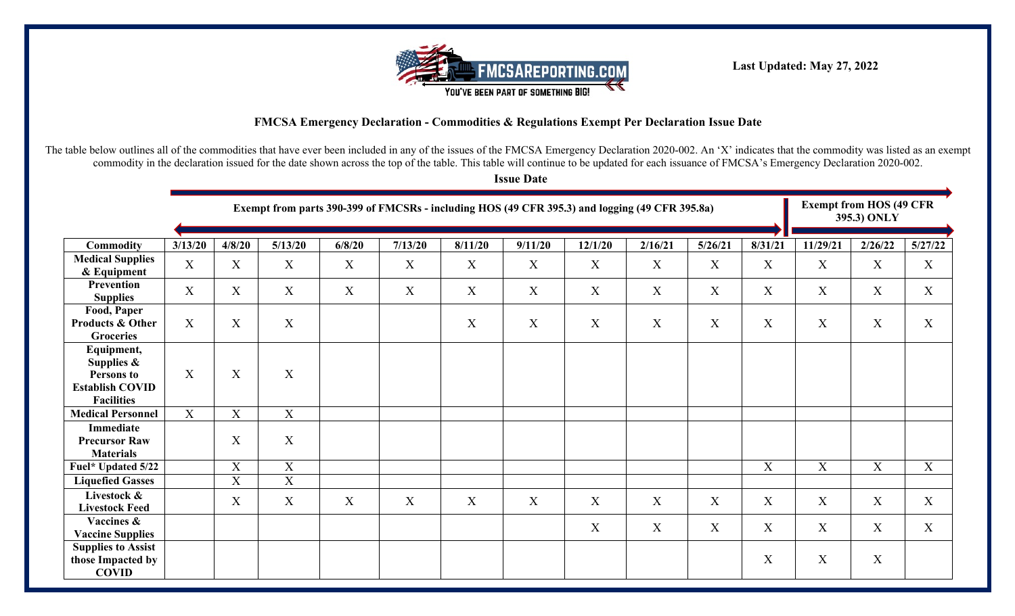

**Last Updated: May 27, 2022**

## **FMCSA Emergency Declaration - Commodities & Regulations Exempt Per Declaration Issue Date**

The table below outlines all of the commodities that have ever been included in any of the issues of the FMCSA Emergency Declaration 2020-002. An 'X' indicates that the commodity was listed as an exempt commodity in the declaration issued for the date shown across the top of the table. This table will continue to be updated for each issuance of FMCSA's Emergency Declaration 2020-002.

**Issue Date**

|                                                                                          |                  | Exempt from parts 390-399 of FMCSRs - including HOS (49 CFR 395.3) and logging (49 CFR 395.8a) |                           |        |              |                           |                  |             |                  |                           |                  |             | <b>Exempt from HOS (49 CFR</b><br>395.3) ONLY |         |  |
|------------------------------------------------------------------------------------------|------------------|------------------------------------------------------------------------------------------------|---------------------------|--------|--------------|---------------------------|------------------|-------------|------------------|---------------------------|------------------|-------------|-----------------------------------------------|---------|--|
| Commodity                                                                                | 3/13/20          | 4/8/20                                                                                         | 5/13/20                   | 6/8/20 | 7/13/20      | 8/11/20                   | 9/11/20          | 12/1/20     | 2/16/21          | 5/26/21                   | 8/31/21          | 11/29/21    | 2/26/22                                       | 5/27/22 |  |
| <b>Medical Supplies</b><br>& Equipment                                                   | $\boldsymbol{X}$ | X                                                                                              | X                         | X      | X            | X                         | $\boldsymbol{X}$ | X           | $\boldsymbol{X}$ | X                         | $\boldsymbol{X}$ | X           | X                                             | X       |  |
| Prevention<br><b>Supplies</b>                                                            | $\boldsymbol{X}$ | X                                                                                              | X                         | X      | X            | X                         | $\mathbf X$      | $\mathbf X$ | $\mathbf X$      | X                         | X                | X           | X                                             | X       |  |
| Food, Paper<br><b>Products &amp; Other</b><br><b>Groceries</b>                           | X                | $\mathbf X$                                                                                    | $\boldsymbol{\mathrm{X}}$ |        |              | $\boldsymbol{\mathrm{X}}$ | $\boldsymbol{X}$ | X           | X                | $\boldsymbol{\mathrm{X}}$ | X                | X           | X                                             | X       |  |
| Equipment,<br>Supplies $\&$<br>Persons to<br><b>Establish COVID</b><br><b>Facilities</b> | X                | X                                                                                              | $\boldsymbol{\mathrm{X}}$ |        |              |                           |                  |             |                  |                           |                  |             |                                               |         |  |
| <b>Medical Personnel</b>                                                                 | $\boldsymbol{X}$ | $\mathbf X$                                                                                    | $\mathbf X$               |        |              |                           |                  |             |                  |                           |                  |             |                                               |         |  |
| <b>Immediate</b><br><b>Precursor Raw</b><br><b>Materials</b>                             |                  | X                                                                                              | $\mathbf X$               |        |              |                           |                  |             |                  |                           |                  |             |                                               |         |  |
| Fuel* Updated 5/22                                                                       |                  | X                                                                                              | $\boldsymbol{\mathrm{X}}$ |        |              |                           |                  |             |                  |                           | $\mathbf X$      | $\mathbf X$ | $\mathbf X$                                   | X       |  |
| <b>Liquefied Gasses</b>                                                                  |                  | $\boldsymbol{X}$                                                                               | $\mathbf X$               |        |              |                           |                  |             |                  |                           |                  |             |                                               |         |  |
| Livestock &<br><b>Livestock Feed</b>                                                     |                  | X                                                                                              | X                         | X      | $\mathbf{X}$ | X                         | X                | X           | X                | X                         | X                | X           | X                                             | X       |  |
| Vaccines &<br><b>Vaccine Supplies</b>                                                    |                  |                                                                                                |                           |        |              |                           |                  | $\mathbf X$ | $\mathbf X$      | X                         | X                | X           | X                                             | X       |  |
| <b>Supplies to Assist</b><br>those Impacted by<br><b>COVID</b>                           |                  |                                                                                                |                           |        |              |                           |                  |             |                  |                           | $\boldsymbol{X}$ | X           | X                                             |         |  |